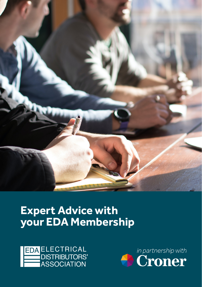

# **Expert Advice with your EDA Membership**



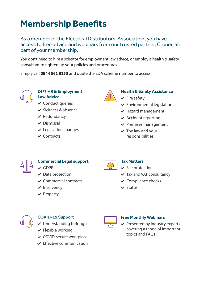# **Membership Benefits**

As a member of the Electrical Distributors' Association, you have access to free advice and webinars from our trusted partner, Croner, as part of your membership.

You don't need to hire a solicitor for employment law advice, or employ a health & safety consultant to tighten up your policies and procedures.

Simply call **0844 561 8133** and quote the EDA scheme number to access:



#### **24/7 HR & Employment Law Advice**

- $\checkmark$  Conduct queries
- $\vee$  Sickness & absence
- $\vee$  Redundancy
- $\vee$  Dismissal
- $\vee$  Legislation changes
- $\vee$  Contracts

 $\checkmark$  GDPR

 $\vee$  Data protection  $\vee$  Commercial contracts

 $\vee$  Insolvency  $\vee$  Property



### **Health & Safety Assistance**

- $\checkmark$  Fire safety
- $\checkmark$  Environmental legislation
- $\vee$  Hazard management
- $\vee$  Accident reporting
- $\vee$  Premises management
- $\vee$  The law and your responsibilities



## **Commercial Legal support**

 $\frac{9}{6}$ 

#### **Tax Matters**

- $\checkmark$  Fee protection
- $\vee$  Tax and VAT consultancy
- $\checkmark$  Compliance checks
- $\vee$  Status



## **COVID-19 Support**

- $\vee$  Understanding furlough
- $\checkmark$  Flexible working
- $\checkmark$  COVID-secure workplace
- $\vee$  Effective communication



## **Free Monthly Webinars**

 $\vee$  Presented by industry experts covering a range of important topics and FAQs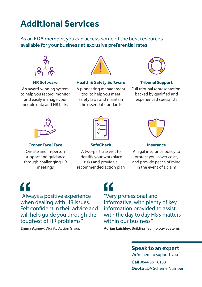# **Additional Services**

As an EDA member, you can access some of the best resources available for your business at exclusive preferential rates:



#### **HR Software**

An award-winning system to help you record, monitor and easily manage your people data and HR tasks



#### **Health & Safety Software**

A pioneering management tool to help you meet safety laws and maintain the essential standards



#### **Tribunal Support**

Full tribunal representation, backed by qualified and experienced specialists





On-site and in-person support and guidance through challenging HR meetings



#### **SafeCheck**

A two-part site visit to identify your workplace risks and provide a recommended action plan



#### **Insurance**

A legal insurance policy to protect you, cover costs, and provide peace of mind in the event of a claim

"

"Always a positive experience when dealing with HR issues. Felt confident in their advice and will help guide you through the toughest of HR problems."

**Emma Agnew, Dignity Action Group** 

# "

"Very professional and informative, with plenty of key information provided to assist with the day to day H&S matters within our business."

**Adrian Laishley**, Building Technology Systems

## **Speak to an expert**

We're here to support you **Call** 0844 561 8133 **Quote** EDA Scheme Number